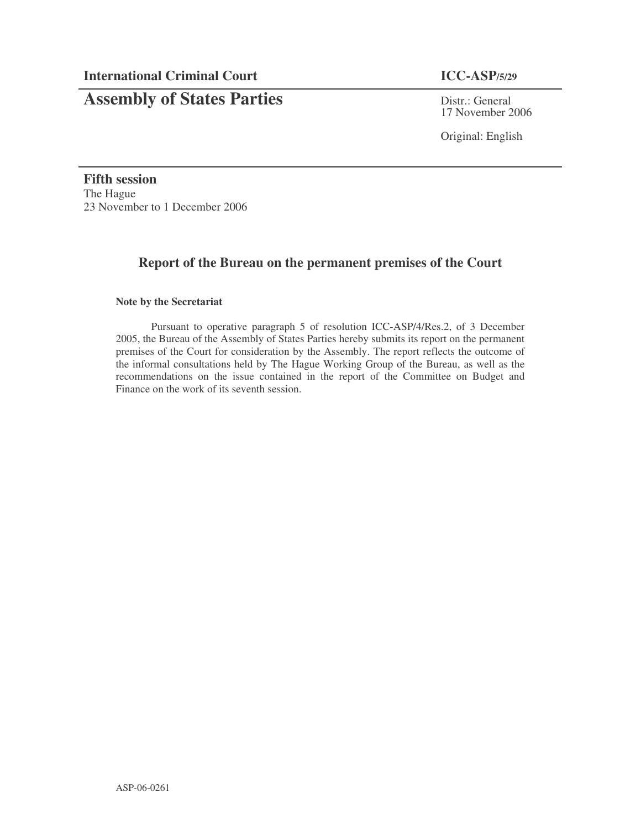## **Assembly of States Parties** Distr.: General 17 November 2006

Original: English

**Fifth session** The Hague 23 November to 1 December 2006

**Report of the Bureau on the permanent premises of the Court**

## **Note by the Secretariat**

Pursuant to operative paragraph 5 of resolution ICC-ASP/4/Res.2, of 3 December 2005, the Bureau of the Assembly of States Parties hereby submits its report on the permanent premises of the Court for consideration by the Assembly. The report reflects the outcome of the informal consultations held by The Hague Working Group of the Bureau, as well as the recommendations on the issue contained in the report of the Committee on Budget and Finance on the work of its seventh session.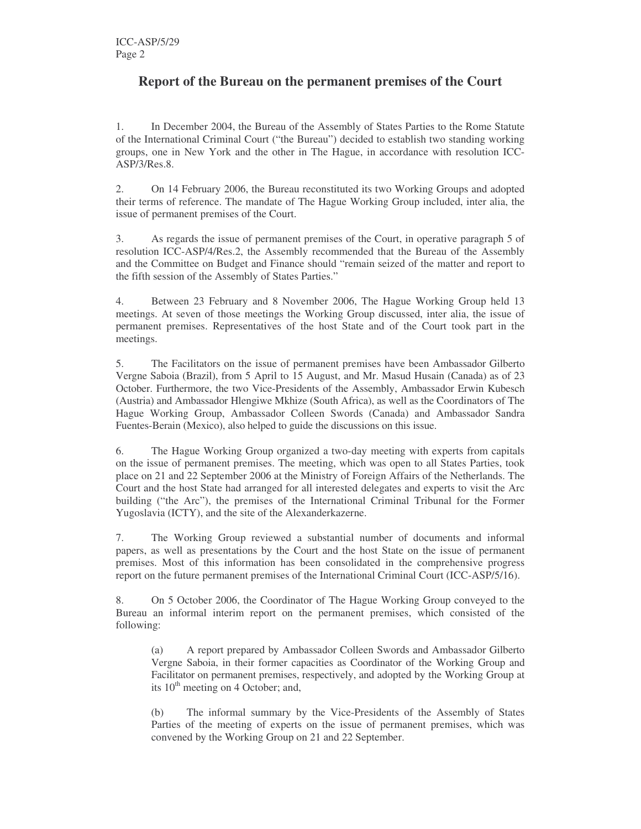# **Report of the Bureau on the permanent premises of the Court**

1. In December 2004, the Bureau of the Assembly of States Parties to the Rome Statute of the International Criminal Court ("the Bureau") decided to establish two standing working groups, one in New York and the other in The Hague, in accordance with resolution ICC-ASP/3/Res.8.

2. On 14 February 2006, the Bureau reconstituted its two Working Groups and adopted their terms of reference. The mandate of The Hague Working Group included, inter alia, the issue of permanent premises of the Court.

3. As regards the issue of permanent premises of the Court, in operative paragraph 5 of resolution ICC-ASP/4/Res.2, the Assembly recommended that the Bureau of the Assembly and the Committee on Budget and Finance should "remain seized of the matter and report to the fifth session of the Assembly of States Parties."

4. Between 23 February and 8 November 2006, The Hague Working Group held 13 meetings. At seven of those meetings the Working Group discussed, inter alia, the issue of permanent premises. Representatives of the host State and of the Court took part in the meetings.

5. The Facilitators on the issue of permanent premises have been Ambassador Gilberto Vergne Saboia (Brazil), from 5 April to 15 August, and Mr. Masud Husain (Canada) as of 23 October. Furthermore, the two Vice-Presidents of the Assembly, Ambassador Erwin Kubesch (Austria) and Ambassador Hlengiwe Mkhize (South Africa), as well as the Coordinators of The Hague Working Group, Ambassador Colleen Swords (Canada) and Ambassador Sandra Fuentes-Berain (Mexico), also helped to guide the discussions on this issue.

6. The Hague Working Group organized a two-day meeting with experts from capitals on the issue of permanent premises. The meeting, which was open to all States Parties, took place on 21 and 22 September 2006 at the Ministry of Foreign Affairs of the Netherlands. The Court and the host State had arranged for all interested delegates and experts to visit the Arc building ("the Arc"), the premises of the International Criminal Tribunal for the Former Yugoslavia (ICTY), and the site of the Alexanderkazerne.

7. The Working Group reviewed a substantial number of documents and informal papers, as well as presentations by the Court and the host State on the issue of permanent premises. Most of this information has been consolidated in the comprehensive progress report on the future permanent premises of the International Criminal Court (ICC-ASP/5/16).

8. On 5 October 2006, the Coordinator of The Hague Working Group conveyed to the Bureau an informal interim report on the permanent premises, which consisted of the following:

(a) A report prepared by Ambassador Colleen Swords and Ambassador Gilberto Vergne Saboia, in their former capacities as Coordinator of the Working Group and Facilitator on permanent premises, respectively, and adopted by the Working Group at its 10<sup>th</sup> meeting on 4 October; and,

(b) The informal summary by the Vice-Presidents of the Assembly of States Parties of the meeting of experts on the issue of permanent premises, which was convened by the Working Group on 21 and 22 September.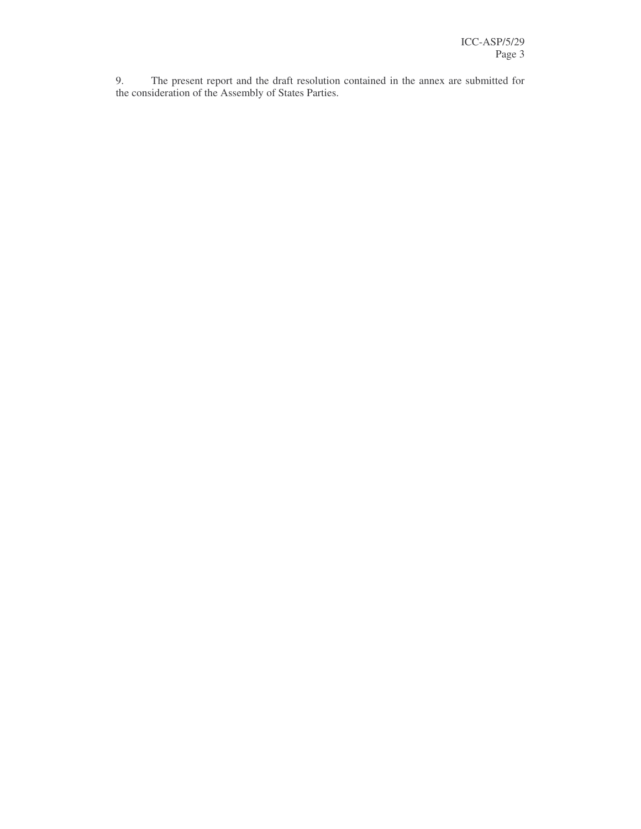9. The present report and the draft resolution contained in the annex are submitted for the consideration of the Assembly of States Parties.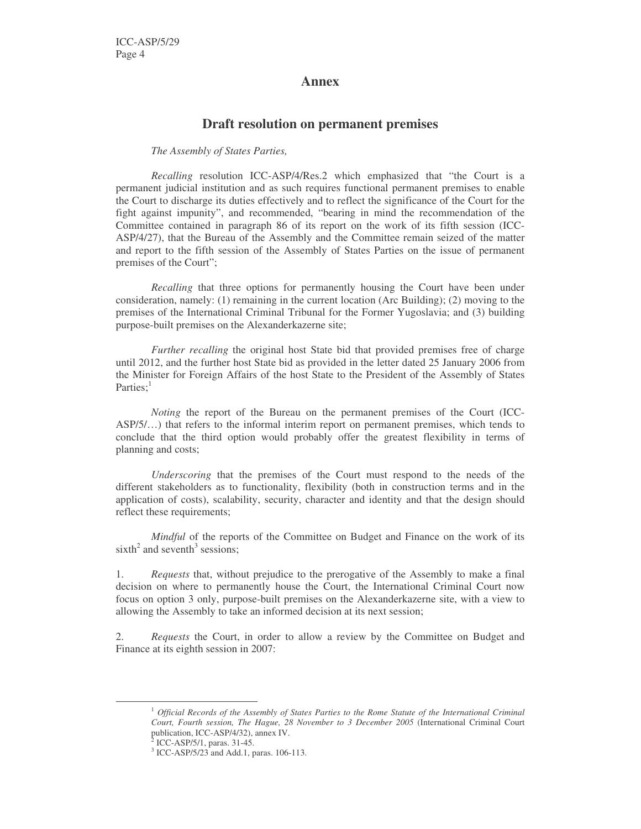## **Annex**

## **Draft resolution on permanent premises**

### *The Assembly of States Parties,*

*Recalling* resolution ICC-ASP/4/Res.2 which emphasized that "the Court is a permanent judicial institution and as such requires functional permanent premises to enable the Court to discharge its duties effectively and to reflect the significance of the Court for the fight against impunity", and recommended, "bearing in mind the recommendation of the Committee contained in paragraph 86 of its report on the work of its fifth session (ICC-ASP/4/27), that the Bureau of the Assembly and the Committee remain seized of the matter and report to the fifth session of the Assembly of States Parties on the issue of permanent premises of the Court";

*Recalling* that three options for permanently housing the Court have been under consideration, namely: (1) remaining in the current location (Arc Building); (2) moving to the premises of the International Criminal Tribunal for the Former Yugoslavia; and (3) building purpose-built premises on the Alexanderkazerne site;

*Further recalling* the original host State bid that provided premises free of charge until 2012, and the further host State bid as provided in the letter dated 25 January 2006 from the Minister for Foreign Affairs of the host State to the President of the Assembly of States Parties;<sup>1</sup>

*Noting* the report of the Bureau on the permanent premises of the Court (ICC-ASP/5/…) that refers to the informal interim report on permanent premises, which tends to conclude that the third option would probably offer the greatest flexibility in terms of planning and costs;

*Underscoring* that the premises of the Court must respond to the needs of the different stakeholders as to functionality, flexibility (both in construction terms and in the application of costs), scalability, security, character and identity and that the design should reflect these requirements;

*Mindful* of the reports of the Committee on Budget and Finance on the work of its sixth<sup>2</sup> and seventh<sup>3</sup> sessions;

1. *Requests* that, without prejudice to the prerogative of the Assembly to make a final decision on where to permanently house the Court, the International Criminal Court now focus on option 3 only, purpose-built premises on the Alexanderkazerne site, with a view to allowing the Assembly to take an informed decision at its next session;

2. *Requests* the Court, in order to allow a review by the Committee on Budget and Finance at its eighth session in 2007:

<sup>1</sup> *Official Records of the Assembly of States Parties to the Rome Statute of the International Criminal Court, Fourth session, The Hague, 28 November to 3 December 2005* (International Criminal Court publication, ICC-ASP/4/32), annex IV.

<sup>&</sup>lt;sup>2</sup> ICC-ASP/5/1, paras. 31-45.

<sup>3</sup> ICC-ASP/5/23 and Add.1, paras. 106-113.